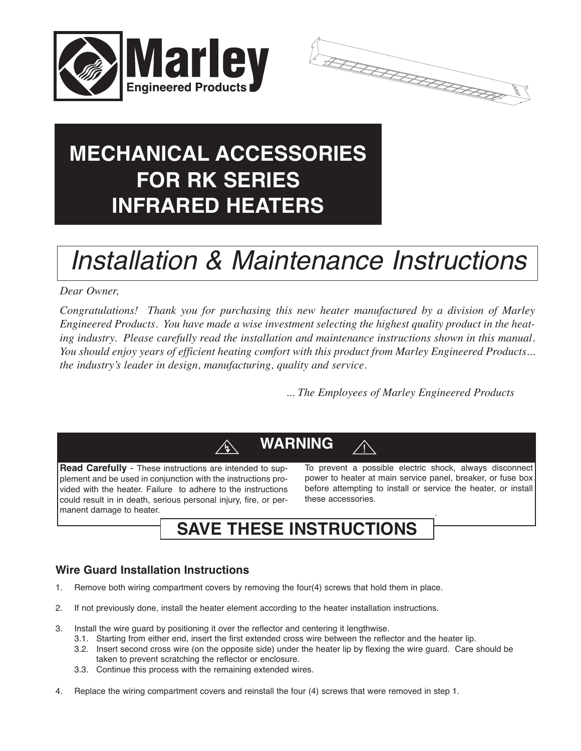



# **MECHANICAL ACCESSORIES FOR RK SERIES INFRARED HEATERS**

# *Installation & Maintenance Instructions*

### *Dear Owner,*

*Congratulations! Thank you for purchasing this new heater manufactured by a division of Marley Engineered Products. You have made a wise investment selecting the highest quality product in the heating industry. Please carefully read the installation and maintenance instructions shown in this manual. You should enjoy years of efficient heating comfort with this product from Marley Engineered Products... the industry's leader in design, manufacturing, quality and service.*

*... The Employees of Marley Engineered Products*

# **WARNING**

**Read Carefully** - These instructions are intended to supplement and be used in conjunction with the instructions provided with the heater. Failure to adhere to the instructions could result in in death, serious personal injury, fire, or permanent damage to heater.

To prevent a possible electric shock, always disconnect power to heater at main service panel, breaker, or fuse box before attempting to install or service the heater, or install these accessories.

.

## **SAVE THESE INSTRUCTIONS**

## **Wire Guard Installation Instructions**

- 1. Remove both wiring compartment covers by removing the four(4) screws that hold them in place.
- 2. If not previously done, install the heater element according to the heater installation instructions.
- 3. Install the wire guard by positioning it over the reflector and centering it lengthwise.
	- 3.1. Starting from either end, insert the first extended cross wire between the reflector and the heater lip.
	- 3.2. Insert second cross wire (on the opposite side) under the heater lip by flexing the wire guard. Care should be taken to prevent scratching the reflector or enclosure.
	- 3.3. Continue this process with the remaining extended wires.
- 4. Replace the wiring compartment covers and reinstall the four (4) screws that were removed in step 1.